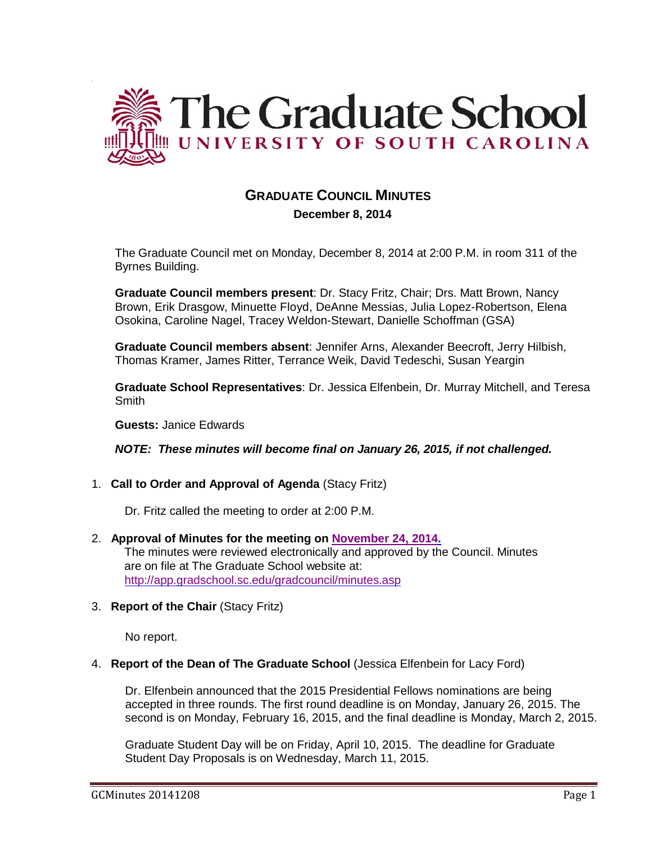

# **GRADUATE COUNCIL MINUTES**

 **December 8, 2014**

The Graduate Council met on Monday, December 8, 2014 at 2:00 P.M. in room 311 of the Byrnes Building.

**Graduate Council members present**: Dr. Stacy Fritz, Chair; Drs. Matt Brown, Nancy Brown, Erik Drasgow, Minuette Floyd, DeAnne Messias, Julia Lopez-Robertson, Elena Osokina, Caroline Nagel, Tracey Weldon-Stewart, Danielle Schoffman (GSA)

**Graduate Council members absent**: Jennifer Arns, Alexander Beecroft, Jerry Hilbish, Thomas Kramer, James Ritter, Terrance Weik, David Tedeschi, Susan Yeargin

**Graduate School Representatives**: Dr. Jessica Elfenbein, Dr. Murray Mitchell, and Teresa Smith

**Guests:** Janice Edwards

*NOTE: These minutes will become final on January 26, 2015, if not challenged.*

# 1. **Call to Order and Approval of Agenda** (Stacy Fritz)

Dr. Fritz called the meeting to order at 2:00 P.M.

- 2. **Approval of Minutes for the meeting on [November 24, 2014.](http://gradschool.sc.edu/facstaff/gradcouncil/2014/GC%20Minutes%2011%2024%2014.pdf)** The minutes were reviewed electronically and approved by the Council. Minutes are on file at The Graduate School website at: <http://app.gradschool.sc.edu/gradcouncil/minutes.asp>
- 3. **Report of the Chair** (Stacy Fritz)

No report.

#### 4. **Report of the Dean of The Graduate School** (Jessica Elfenbein for Lacy Ford)

Dr. Elfenbein announced that the 2015 Presidential Fellows nominations are being accepted in three rounds. The first round deadline is on Monday, January 26, 2015. The second is on Monday, February 16, 2015, and the final deadline is Monday, March 2, 2015.

Graduate Student Day will be on Friday, April 10, 2015. The deadline for Graduate Student Day Proposals is on Wednesday, March 11, 2015.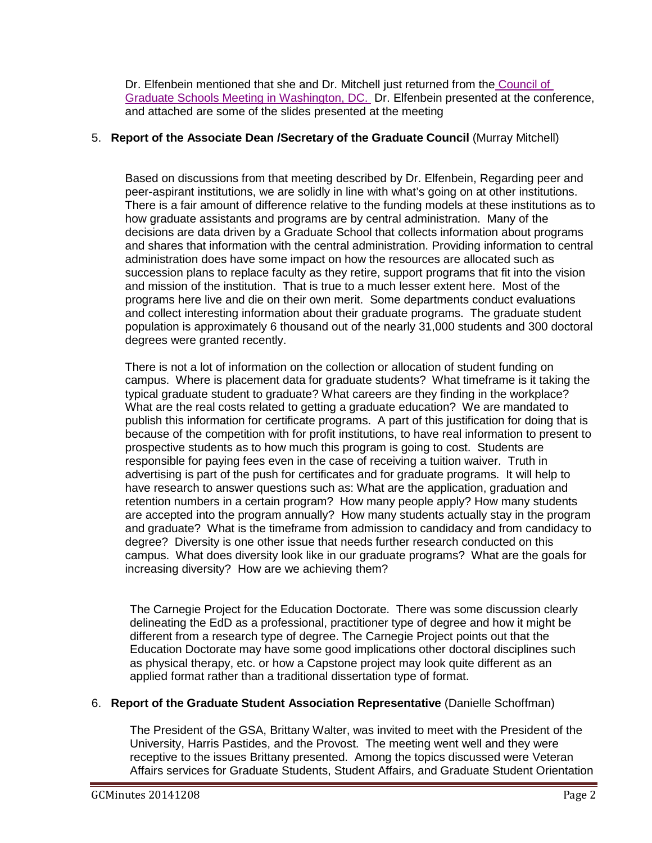Dr. Elfenbein mentioned that she and Dr. Mitchell just returned from the [Council of](http://gradschool.sc.edu/facstaff/gradcouncil/2014/CGS%20Presentation%20attachment.pdf) Graduate Schools [Meeting in Washington, DC.](http://gradschool.sc.edu/facstaff/gradcouncil/2014/CGS%20Presentation%20attachment.pdf) Dr. Elfenbein presented at the conference, and attached are some of the slides presented at the meeting

# 5. **Report of the Associate Dean /Secretary of the Graduate Council** (Murray Mitchell)

Based on discussions from that meeting described by Dr. Elfenbein, Regarding peer and peer-aspirant institutions, we are solidly in line with what's going on at other institutions. There is a fair amount of difference relative to the funding models at these institutions as to how graduate assistants and programs are by central administration. Many of the decisions are data driven by a Graduate School that collects information about programs and shares that information with the central administration. Providing information to central administration does have some impact on how the resources are allocated such as succession plans to replace faculty as they retire, support programs that fit into the vision and mission of the institution. That is true to a much lesser extent here. Most of the programs here live and die on their own merit. Some departments conduct evaluations and collect interesting information about their graduate programs. The graduate student population is approximately 6 thousand out of the nearly 31,000 students and 300 doctoral degrees were granted recently.

There is not a lot of information on the collection or allocation of student funding on campus. Where is placement data for graduate students? What timeframe is it taking the typical graduate student to graduate? What careers are they finding in the workplace? What are the real costs related to getting a graduate education? We are mandated to publish this information for certificate programs. A part of this justification for doing that is because of the competition with for profit institutions, to have real information to present to prospective students as to how much this program is going to cost. Students are responsible for paying fees even in the case of receiving a tuition waiver. Truth in advertising is part of the push for certificates and for graduate programs. It will help to have research to answer questions such as: What are the application, graduation and retention numbers in a certain program? How many people apply? How many students are accepted into the program annually? How many students actually stay in the program and graduate? What is the timeframe from admission to candidacy and from candidacy to degree? Diversity is one other issue that needs further research conducted on this campus. What does diversity look like in our graduate programs? What are the goals for increasing diversity? How are we achieving them?

The Carnegie Project for the Education Doctorate. There was some discussion clearly delineating the EdD as a professional, practitioner type of degree and how it might be different from a research type of degree. The Carnegie Project points out that the Education Doctorate may have some good implications other doctoral disciplines such as physical therapy, etc. or how a Capstone project may look quite different as an applied format rather than a traditional dissertation type of format.

# 6. **Report of the Graduate Student Association Representative** (Danielle Schoffman)

The President of the GSA, Brittany Walter, was invited to meet with the President of the University, Harris Pastides, and the Provost. The meeting went well and they were receptive to the issues Brittany presented. Among the topics discussed were Veteran Affairs services for Graduate Students, Student Affairs, and Graduate Student Orientation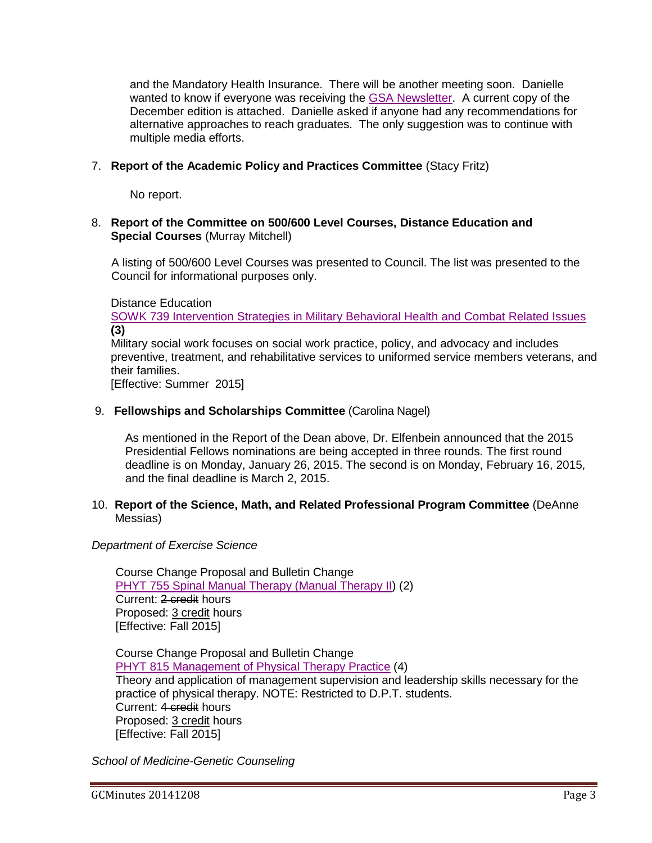and the Mandatory Health Insurance. There will be another meeting soon. Danielle wanted to know if everyone was receiving the [GSA Newsletter.](http://gradschool.sc.edu/facstaff/gradcouncil/2014/GSA%20Newsletter%20for%2012-8-14.pdf) A current copy of the December edition is attached. Danielle asked if anyone had any recommendations for alternative approaches to reach graduates. The only suggestion was to continue with multiple media efforts.

# 7. **Report of the Academic Policy and Practices Committee** (Stacy Fritz)

No report.

#### 8. **Report of the Committee on 500/600 Level Courses, Distance Education and Special Courses** (Murray Mitchell)

A listing of 500/600 Level Courses was presented to Council. The list was presented to the Council for informational purposes only.

Distance Education

[SOWK 739 Intervention Strategies in Military Behavioral Health and Combat Related Issues](http://gradschool.sc.edu/facstaff/gradcouncil/2014/SOWK%20739%20DED_Redacted.pdf) **(3)**

Military social work focuses on social work practice, policy, and advocacy and includes preventive, treatment, and rehabilitative services to uniformed service members veterans, and their families.

[Effective: Summer 2015]

#### 9. **Fellowships and Scholarships Committee** (Carolina Nagel)

As mentioned in the Report of the Dean above, Dr. Elfenbein announced that the 2015 Presidential Fellows nominations are being accepted in three rounds. The first round deadline is on Monday, January 26, 2015. The second is on Monday, February 16, 2015, and the final deadline is March 2, 2015.

#### 10. **Report of the Science, Math, and Related Professional Program Committee** (DeAnne Messias)

# *Department of Exercise Science*

Course Change Proposal and Bulletin Change [PHYT 755 Spinal Manual Therapy \(Manual Therapy II\)](http://gradschool.sc.edu/facstaff/gradcouncil/2014/PHYT%20755%20CCPRedacded3.pdf) (2) Current: 2 credit hours Proposed: 3 credit hours [Effective: Fall 2015]

Course Change Proposal and Bulletin Change [PHYT 815 Management of Physical Therapy Practice](http://gradschool.sc.edu/facstaff/gradcouncil/2014/PHYT%20815%20CCP_Redacted.pdf) (4) Theory and application of management supervision and leadership skills necessary for the practice of physical therapy. NOTE: Restricted to D.P.T. students. Current: 4 credit hours Proposed: 3 credit hours [Effective: Fall 2015]

*School of Medicine-Genetic Counseling*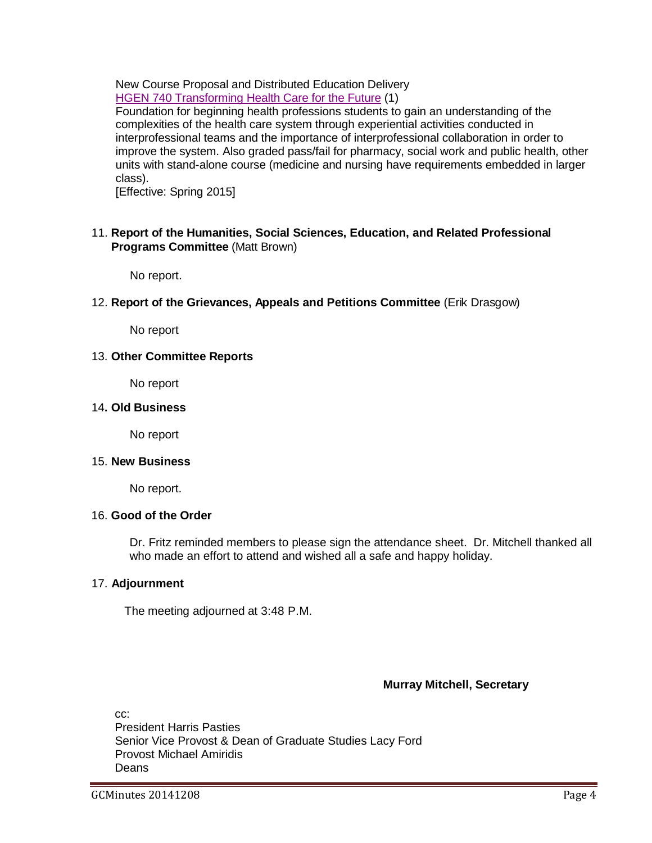New Course Proposal and Distributed Education Delivery [HGEN 740 Transforming Health Care for the Future](http://gradschool.sc.edu/facstaff/gradcouncil/2014/HGEN%20740%20NCP_Redacted.pdf) (1)

Foundation for beginning health professions students to gain an understanding of the complexities of the health care system through experiential activities conducted in interprofessional teams and the importance of interprofessional collaboration in order to improve the system. Also graded pass/fail for pharmacy, social work and public health, other units with stand-alone course (medicine and nursing have requirements embedded in larger class).

[Effective: Spring 2015]

#### 11. **Report of the Humanities, Social Sciences, Education, and Related Professional Programs Committee** (Matt Brown)

No report.

12. **Report of the Grievances, Appeals and Petitions Committee** (Erik Drasgow)

No report

#### 13. **Other Committee Reports**

No report

#### 14**. Old Business**

No report

#### 15. **New Business**

No report.

# 16. **Good of the Order**

Dr. Fritz reminded members to please sign the attendance sheet. Dr. Mitchell thanked all who made an effort to attend and wished all a safe and happy holiday.

# 17. **Adjournment**

The meeting adjourned at 3:48 P.M.

# **Murray Mitchell, Secretary**

cc: President Harris Pasties Senior Vice Provost & Dean of Graduate Studies Lacy Ford Provost Michael Amiridis **Deans**